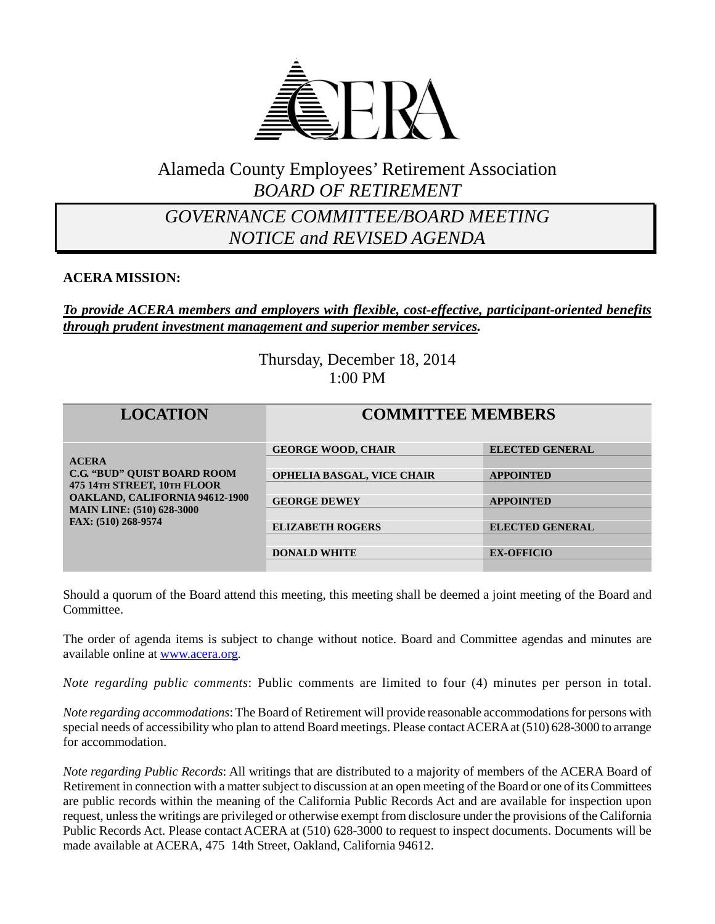

## Alameda County Employees' Retirement Association *BOARD OF RETIREMENT*

## *GOVERNANCE COMMITTEE/BOARD MEETING NOTICE and REVISED AGENDA*

#### **ACERA MISSION:**

#### *To provide ACERA members and employers with flexible, cost-effective, participant-oriented benefits through prudent investment management and superior member services.*

Thursday, December 18, 2014 1:00 PM

| <b>LOCATION</b>                                                                                                                                                                       | <b>COMMITTEE MEMBERS</b>          |                        |
|---------------------------------------------------------------------------------------------------------------------------------------------------------------------------------------|-----------------------------------|------------------------|
| <b>ACERA</b><br><b>C.G. "BUD" OUIST BOARD ROOM</b><br>475 14TH STREET, 10TH FLOOR<br><b>OAKLAND, CALIFORNIA 94612-1900</b><br><b>MAIN LINE: (510) 628-3000</b><br>FAX: (510) 268-9574 | <b>GEORGE WOOD, CHAIR</b>         | <b>ELECTED GENERAL</b> |
|                                                                                                                                                                                       |                                   |                        |
|                                                                                                                                                                                       | <b>OPHELIA BASGAL, VICE CHAIR</b> | <b>APPOINTED</b>       |
|                                                                                                                                                                                       |                                   |                        |
|                                                                                                                                                                                       | <b>GEORGE DEWEY</b>               | <b>APPOINTED</b>       |
|                                                                                                                                                                                       |                                   |                        |
|                                                                                                                                                                                       | <b>ELIZABETH ROGERS</b>           | <b>ELECTED GENERAL</b> |
|                                                                                                                                                                                       |                                   |                        |
|                                                                                                                                                                                       | <b>DONALD WHITE</b>               | <b>EX-OFFICIO</b>      |
|                                                                                                                                                                                       |                                   |                        |

Should a quorum of the Board attend this meeting, this meeting shall be deemed a joint meeting of the Board and Committee.

The order of agenda items is subject to change without notice. Board and Committee agendas and minutes are available online at [www.acera.org.](http://www.acera.org/)

*Note regarding public comments*: Public comments are limited to four (4) minutes per person in total.

*Note regarding accommodations*: The Board of Retirement will provide reasonable accommodations for persons with special needs of accessibility who plan to attend Board meetings. Please contact ACERA at (510) 628-3000 to arrange for accommodation.

*Note regarding Public Records*: All writings that are distributed to a majority of members of the ACERA Board of Retirement in connection with a matter subject to discussion at an open meeting of the Board or one of its Committees are public records within the meaning of the California Public Records Act and are available for inspection upon request, unless the writings are privileged or otherwise exempt from disclosure under the provisions of the California Public Records Act. Please contact ACERA at (510) 628-3000 to request to inspect documents. Documents will be made available at ACERA, 475 14th Street, Oakland, California 94612.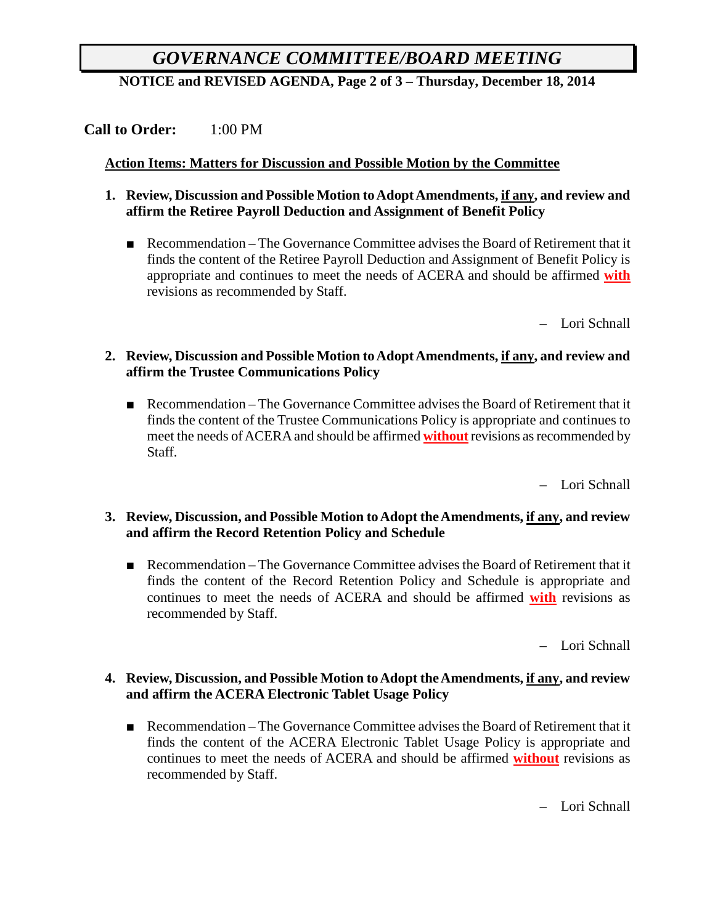# *GOVERNANCE COMMITTEE/BOARD MEETING*

**NOTICE and REVISED AGENDA, Page 2 of 3 – Thursday, December 18, 2014**

#### **Call to Order:** 1:00 PM

#### **Action Items: Matters for Discussion and Possible Motion by the Committee**

- **1. Review, Discussion and Possible Motion to Adopt Amendments, if any, and review and affirm the Retiree Payroll Deduction and Assignment of Benefit Policy**
	- Recommendation The Governance Committee advises the Board of Retirement that it finds the content of the Retiree Payroll Deduction and Assignment of Benefit Policy is appropriate and continues to meet the needs of ACERA and should be affirmed **with** revisions as recommended by Staff.

– Lori Schnall

#### **2. Review, Discussion and Possible Motion to Adopt Amendments, if any, and review and affirm the Trustee Communications Policy**

■ Recommendation – The Governance Committee advises the Board of Retirement that it finds the content of the Trustee Communications Policy is appropriate and continues to meet the needs of ACERA and should be affirmed **without** revisions as recommended by Staff.

– Lori Schnall

#### **3. Review, Discussion, and Possible Motion to Adopt the Amendments, if any, and review and affirm the Record Retention Policy and Schedule**

■ Recommendation – The Governance Committee advises the Board of Retirement that it finds the content of the Record Retention Policy and Schedule is appropriate and continues to meet the needs of ACERA and should be affirmed **with** revisions as recommended by Staff.

– Lori Schnall

#### **4. Review, Discussion, and Possible Motion to Adopt the Amendments, if any, and review and affirm the ACERA Electronic Tablet Usage Policy**

■ Recommendation – The Governance Committee advises the Board of Retirement that it finds the content of the ACERA Electronic Tablet Usage Policy is appropriate and continues to meet the needs of ACERA and should be affirmed **without** revisions as recommended by Staff.

– Lori Schnall